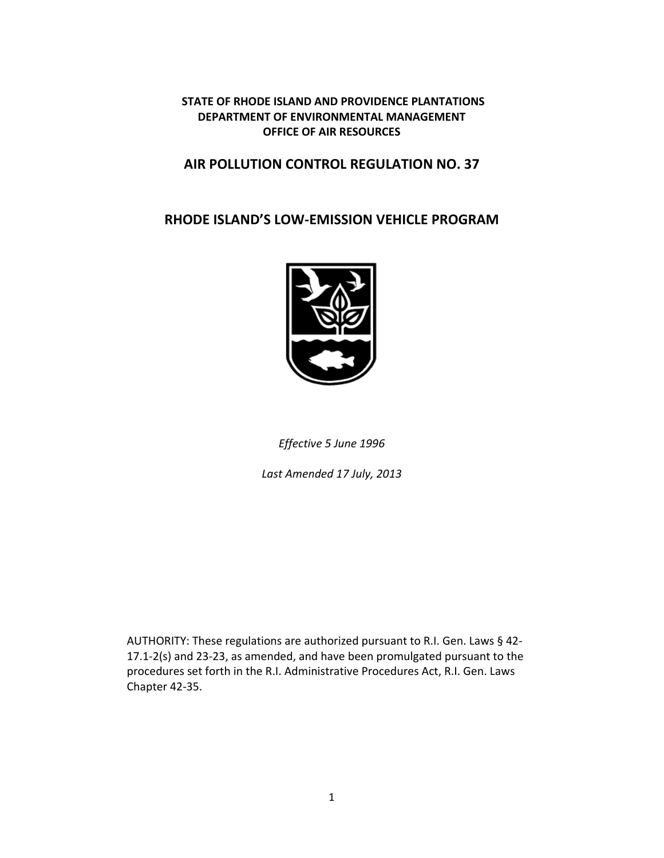## **STATE OF RHODE ISLAND AND PROVIDENCE PLANTATIONS DEPARTMENT OF ENVIRONMENTAL MANAGEMENT OFFICE OF AIR RESOURCES**

# **AIR POLLUTION CONTROL REGULATION NO. 37**

# **RHODE ISLAND'S LOW‐EMISSION VEHICLE PROGRAM**



*Effective 5 June 1996* 

*Last Amended 17 July, 2013*

AUTHORITY: These regulations are authorized pursuant to R.I. Gen. Laws § 42‐ 17.1‐2(s) and 23‐23, as amended, and have been promulgated pursuant to the procedures set forth in the R.I. Administrative Procedures Act, R.I. Gen. Laws Chapter 42‐35.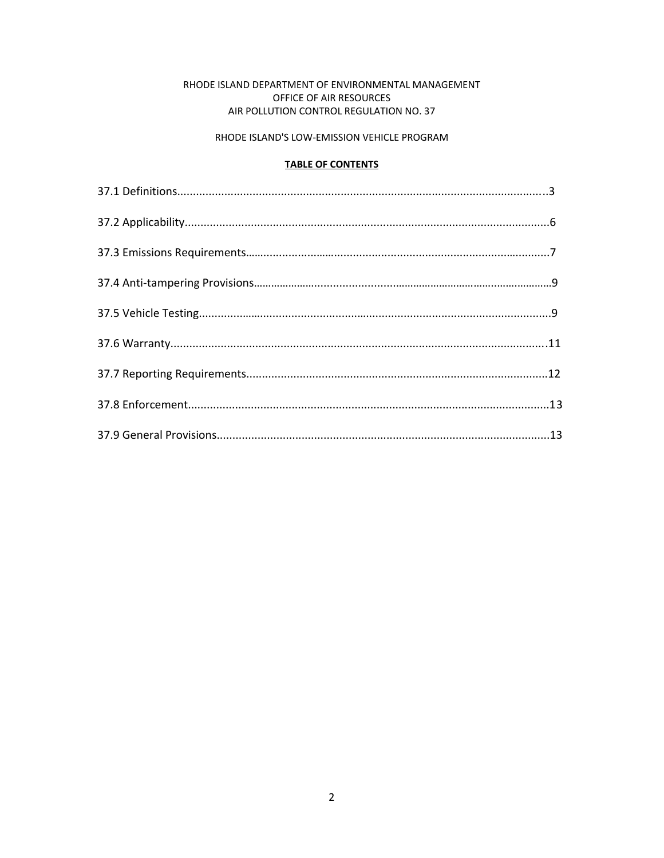### RHODE ISLAND DEPARTMENT OF ENVIRONMENTAL MANAGEMENT OFFICE OF AIR RESOURCES AIR POLLUTION CONTROL REGULATION NO. 37

#### RHODE ISLAND'S LOW-EMISSION VEHICLE PROGRAM

### **TABLE OF CONTENTS**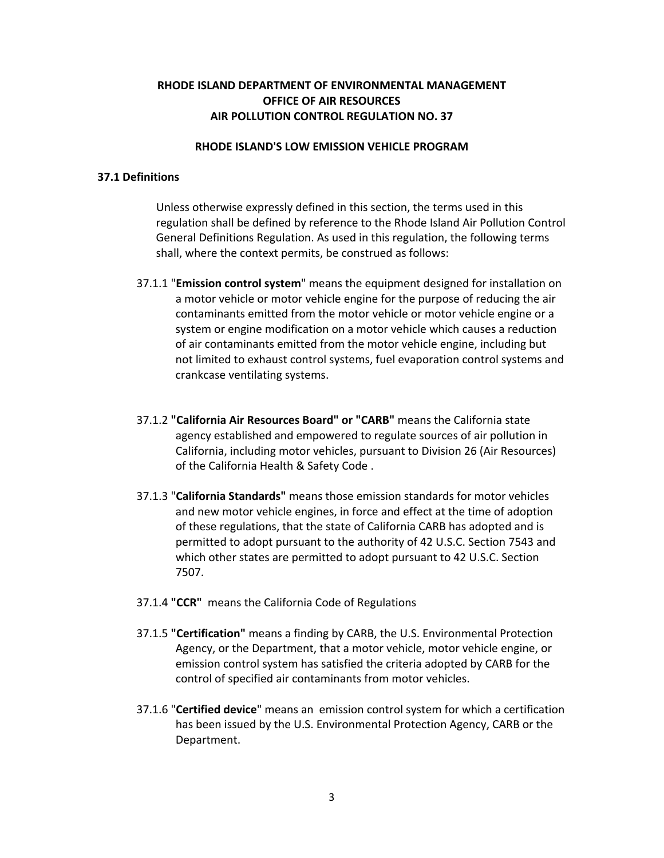## **RHODE ISLAND DEPARTMENT OF ENVIRONMENTAL MANAGEMENT OFFICE OF AIR RESOURCES AIR POLLUTION CONTROL REGULATION NO. 37**

#### **RHODE ISLAND'S LOW EMISSION VEHICLE PROGRAM**

### **37.1 Definitions**

Unless otherwise expressly defined in this section, the terms used in this regulation shall be defined by reference to the Rhode Island Air Pollution Control General Definitions Regulation. As used in this regulation, the following terms shall, where the context permits, be construed as follows:

- 37.1.1 "**Emission control system**" means the equipment designed for installation on a motor vehicle or motor vehicle engine for the purpose of reducing the air contaminants emitted from the motor vehicle or motor vehicle engine or a system or engine modification on a motor vehicle which causes a reduction of air contaminants emitted from the motor vehicle engine, including but not limited to exhaust control systems, fuel evaporation control systems and crankcase ventilating systems.
- 37.1.2 **"California Air Resources Board" or "CARB"** means the California state agency established and empowered to regulate sources of air pollution in California, including motor vehicles, pursuant to Division 26 (Air Resources) of the California Health & Safety Code .
- 37.1.3 "**California Standards"** means those emission standards for motor vehicles and new motor vehicle engines, in force and effect at the time of adoption of these regulations, that the state of California CARB has adopted and is permitted to adopt pursuant to the authority of 42 U.S.C. Section 7543 and which other states are permitted to adopt pursuant to 42 U.S.C. Section 7507.
- 37.1.4 **"CCR"** means the California Code of Regulations
- 37.1.5 **"Certification"** means a finding by CARB, the U.S. Environmental Protection Agency, or the Department, that a motor vehicle, motor vehicle engine, or emission control system has satisfied the criteria adopted by CARB for the control of specified air contaminants from motor vehicles.
- 37.1.6 "**Certified device**" means an emission control system for which a certification has been issued by the U.S. Environmental Protection Agency, CARB or the Department.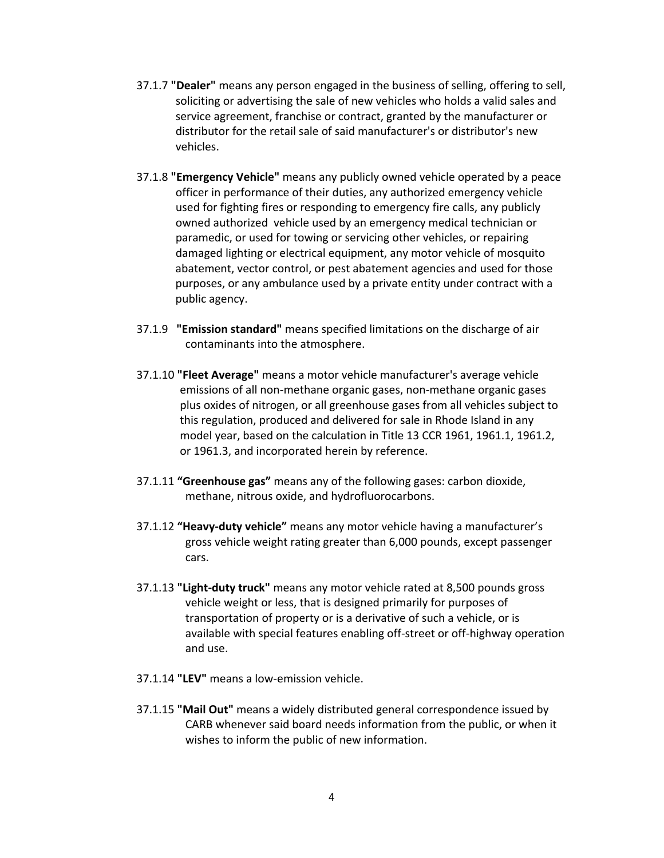- 37.1.7 **"Dealer"** means any person engaged in the business of selling, offering to sell, soliciting or advertising the sale of new vehicles who holds a valid sales and service agreement, franchise or contract, granted by the manufacturer or distributor for the retail sale of said manufacturer's or distributor's new vehicles.
- 37.1.8 **"Emergency Vehicle"** means any publicly owned vehicle operated by a peace officer in performance of their duties, any authorized emergency vehicle used for fighting fires or responding to emergency fire calls, any publicly owned authorized vehicle used by an emergency medical technician or paramedic, or used for towing or servicing other vehicles, or repairing damaged lighting or electrical equipment, any motor vehicle of mosquito abatement, vector control, or pest abatement agencies and used for those purposes, or any ambulance used by a private entity under contract with a public agency.
- 37.1.9 **"Emission standard"** means specified limitations on the discharge of air contaminants into the atmosphere.
- 37.1.10 **"Fleet Average"** means a motor vehicle manufacturer's average vehicle emissions of all non‐methane organic gases, non‐methane organic gases plus oxides of nitrogen, or all greenhouse gases from all vehicles subject to this regulation, produced and delivered for sale in Rhode Island in any model year, based on the calculation in Title 13 CCR 1961, 1961.1, 1961.2, or 1961.3, and incorporated herein by reference.
- 37.1.11 **"Greenhouse gas"** means any of the following gases: carbon dioxide, methane, nitrous oxide, and hydrofluorocarbons.
- 37.1.12 **"Heavy‐duty vehicle"** means any motor vehicle having a manufacturer's gross vehicle weight rating greater than 6,000 pounds, except passenger cars.
- 37.1.13 **"Light‐duty truck"** means any motor vehicle rated at 8,500 pounds gross vehicle weight or less, that is designed primarily for purposes of transportation of property or is a derivative of such a vehicle, or is available with special features enabling off‐street or off‐highway operation and use.
- 37.1.14 **"LEV"** means a low‐emission vehicle.
- 37.1.15 **"Mail Out"** means a widely distributed general correspondence issued by CARB whenever said board needs information from the public, or when it wishes to inform the public of new information.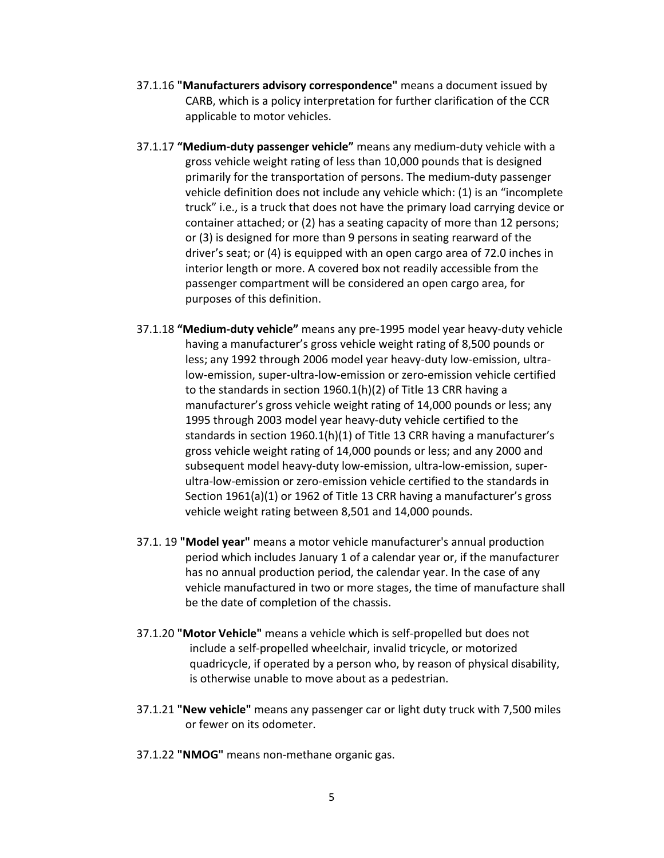- 37.1.16 **"Manufacturers advisory correspondence"** means a document issued by CARB, which is a policy interpretation for further clarification of the CCR applicable to motor vehicles.
- 37.1.17 **"Medium‐duty passenger vehicle"** means any medium‐duty vehicle with a gross vehicle weight rating of less than 10,000 pounds that is designed primarily for the transportation of persons. The medium‐duty passenger vehicle definition does not include any vehicle which: (1) is an "incomplete truck" i.e., is a truck that does not have the primary load carrying device or container attached; or (2) has a seating capacity of more than 12 persons; or (3) is designed for more than 9 persons in seating rearward of the driver's seat; or (4) is equipped with an open cargo area of 72.0 inches in interior length or more. A covered box not readily accessible from the passenger compartment will be considered an open cargo area, for purposes of this definition.
- 37.1.18 **"Medium‐duty vehicle"** means any pre‐1995 model year heavy‐duty vehicle having a manufacturer's gross vehicle weight rating of 8,500 pounds or less; any 1992 through 2006 model year heavy-duty low-emission, ultralow‐emission, super‐ultra‐low‐emission or zero‐emission vehicle certified to the standards in section 1960.1(h)(2) of Title 13 CRR having a manufacturer's gross vehicle weight rating of 14,000 pounds or less; any 1995 through 2003 model year heavy‐duty vehicle certified to the standards in section 1960.1(h)(1) of Title 13 CRR having a manufacturer's gross vehicle weight rating of 14,000 pounds or less; and any 2000 and subsequent model heavy‐duty low‐emission, ultra‐low‐emission, super‐ ultra‐low‐emission or zero‐emission vehicle certified to the standards in Section 1961(a)(1) or 1962 of Title 13 CRR having a manufacturer's gross vehicle weight rating between 8,501 and 14,000 pounds.
- 37.1. 19 **"Model year"** means a motor vehicle manufacturer's annual production period which includes January 1 of a calendar year or, if the manufacturer has no annual production period, the calendar year. In the case of any vehicle manufactured in two or more stages, the time of manufacture shall be the date of completion of the chassis.
- 37.1.20 **"Motor Vehicle"** means a vehicle which is self‐propelled but does not include a self‐propelled wheelchair, invalid tricycle, or motorized quadricycle, if operated by a person who, by reason of physical disability, is otherwise unable to move about as a pedestrian.
- 37.1.21 **"New vehicle"** means any passenger car or light duty truck with 7,500 miles or fewer on its odometer.
- 37.1.22 **"NMOG"** means non‐methane organic gas.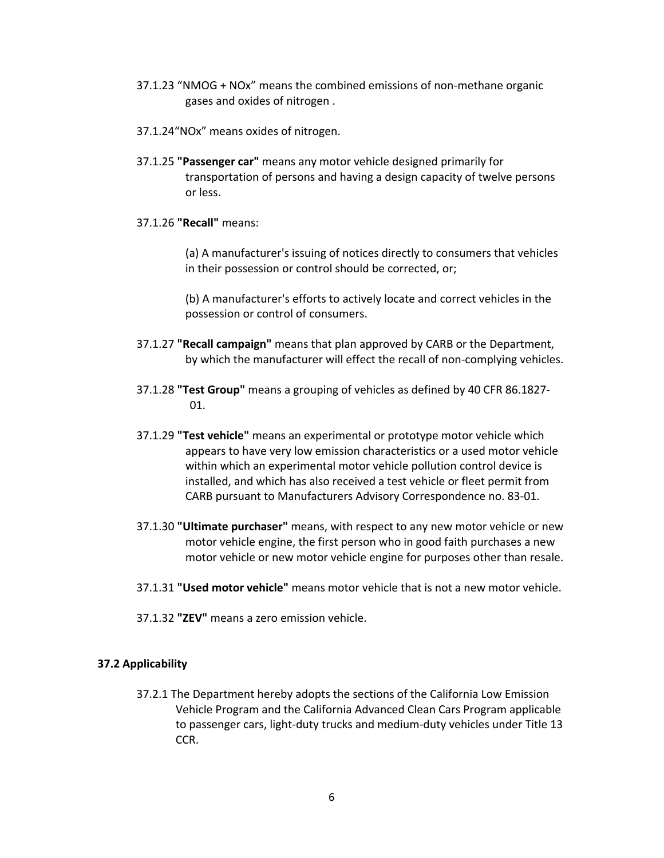- 37.1.23 "NMOG + NOx" means the combined emissions of non‐methane organic gases and oxides of nitrogen .
- 37.1.24"NOx" means oxides of nitrogen.
- 37.1.25 **"Passenger car"** means any motor vehicle designed primarily for transportation of persons and having a design capacity of twelve persons or less.
- 37.1.26 **"Recall"** means:

(a) A manufacturer's issuing of notices directly to consumers that vehicles in their possession or control should be corrected, or;

(b) A manufacturer's efforts to actively locate and correct vehicles in the possession or control of consumers.

- 37.1.27 **"Recall campaign"** means that plan approved by CARB or the Department, by which the manufacturer will effect the recall of non-complying vehicles.
- 37.1.28 **"Test Group"** means a grouping of vehicles as defined by 40 CFR 86.1827‐ 01.
- 37.1.29 **"Test vehicle"** means an experimental or prototype motor vehicle which appears to have very low emission characteristics or a used motor vehicle within which an experimental motor vehicle pollution control device is installed, and which has also received a test vehicle or fleet permit from CARB pursuant to Manufacturers Advisory Correspondence no. 83‐01.
- 37.1.30 **"Ultimate purchaser"** means, with respect to any new motor vehicle or new motor vehicle engine, the first person who in good faith purchases a new motor vehicle or new motor vehicle engine for purposes other than resale.
- 37.1.31 **"Used motor vehicle"** means motor vehicle that is not a new motor vehicle.
- 37.1.32 **"ZEV"** means a zero emission vehicle.

### **37.2 Applicability**

37.2.1 The Department hereby adopts the sections of the California Low Emission Vehicle Program and the California Advanced Clean Cars Program applicable to passenger cars, light‐duty trucks and medium‐duty vehicles under Title 13 CCR.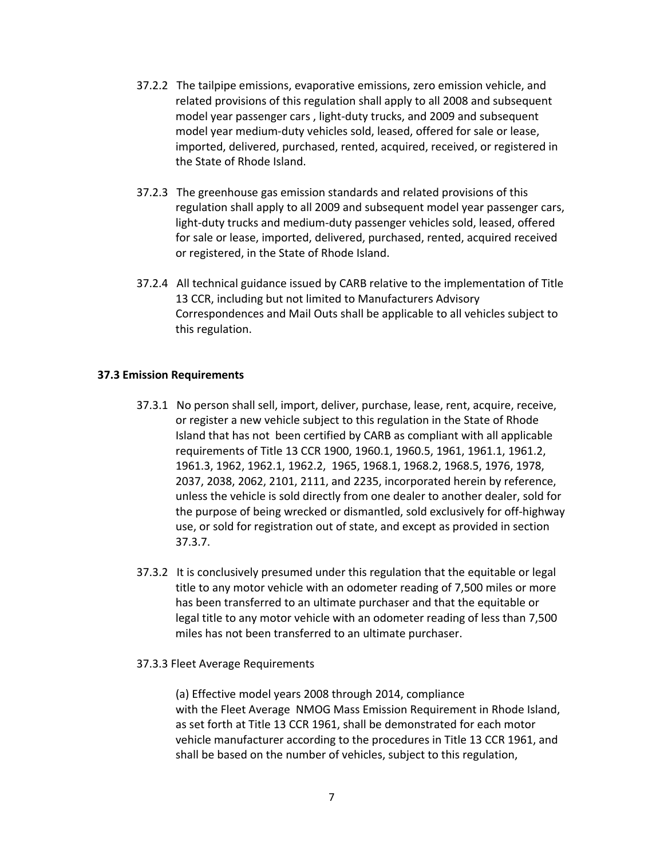- 37.2.2 The tailpipe emissions, evaporative emissions, zero emission vehicle, and related provisions of this regulation shall apply to all 2008 and subsequent model year passenger cars , light‐duty trucks, and 2009 and subsequent model year medium‐duty vehicles sold, leased, offered for sale or lease, imported, delivered, purchased, rented, acquired, received, or registered in the State of Rhode Island.
- 37.2.3 The greenhouse gas emission standards and related provisions of this regulation shall apply to all 2009 and subsequent model year passenger cars, light‐duty trucks and medium‐duty passenger vehicles sold, leased, offered for sale or lease, imported, delivered, purchased, rented, acquired received or registered, in the State of Rhode Island.
- 37.2.4 All technical guidance issued by CARB relative to the implementation of Title 13 CCR, including but not limited to Manufacturers Advisory Correspondences and Mail Outs shall be applicable to all vehicles subject to this regulation.

### **37.3 Emission Requirements**

- 37.3.1 No person shall sell, import, deliver, purchase, lease, rent, acquire, receive, or register a new vehicle subject to this regulation in the State of Rhode Island that has not been certified by CARB as compliant with all applicable requirements of Title 13 CCR 1900, 1960.1, 1960.5, 1961, 1961.1, 1961.2, 1961.3, 1962, 1962.1, 1962.2, 1965, 1968.1, 1968.2, 1968.5, 1976, 1978, 2037, 2038, 2062, 2101, 2111, and 2235, incorporated herein by reference, unless the vehicle is sold directly from one dealer to another dealer, sold for the purpose of being wrecked or dismantled, sold exclusively for off‐highway use, or sold for registration out of state, and except as provided in section 37.3.7.
- 37.3.2 It is conclusively presumed under this regulation that the equitable or legal title to any motor vehicle with an odometer reading of 7,500 miles or more has been transferred to an ultimate purchaser and that the equitable or legal title to any motor vehicle with an odometer reading of less than 7,500 miles has not been transferred to an ultimate purchaser.
- 37.3.3 Fleet Average Requirements

(a) Effective model years 2008 through 2014, compliance with the Fleet Average NMOG Mass Emission Requirement in Rhode Island, as set forth at Title 13 CCR 1961, shall be demonstrated for each motor vehicle manufacturer according to the procedures in Title 13 CCR 1961, and shall be based on the number of vehicles, subject to this regulation,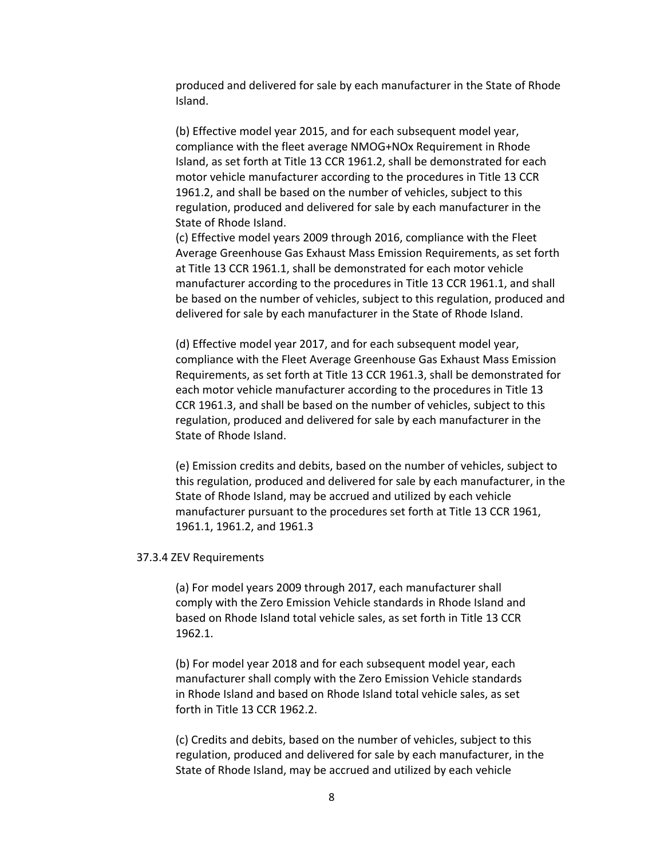produced and delivered for sale by each manufacturer in the State of Rhode Island.

(b) Effective model year 2015, and for each subsequent model year, compliance with the fleet average NMOG+NOx Requirement in Rhode Island, as set forth at Title 13 CCR 1961.2, shall be demonstrated for each motor vehicle manufacturer according to the procedures in Title 13 CCR 1961.2, and shall be based on the number of vehicles, subject to this regulation, produced and delivered for sale by each manufacturer in the State of Rhode Island.

(c) Effective model years 2009 through 2016, compliance with the Fleet Average Greenhouse Gas Exhaust Mass Emission Requirements, as set forth at Title 13 CCR 1961.1, shall be demonstrated for each motor vehicle manufacturer according to the procedures in Title 13 CCR 1961.1, and shall be based on the number of vehicles, subject to this regulation, produced and delivered for sale by each manufacturer in the State of Rhode Island.

(d) Effective model year 2017, and for each subsequent model year, compliance with the Fleet Average Greenhouse Gas Exhaust Mass Emission Requirements, as set forth at Title 13 CCR 1961.3, shall be demonstrated for each motor vehicle manufacturer according to the procedures in Title 13 CCR 1961.3, and shall be based on the number of vehicles, subject to this regulation, produced and delivered for sale by each manufacturer in the State of Rhode Island.

(e) Emission credits and debits, based on the number of vehicles, subject to this regulation, produced and delivered for sale by each manufacturer, in the State of Rhode Island, may be accrued and utilized by each vehicle manufacturer pursuant to the procedures set forth at Title 13 CCR 1961, 1961.1, 1961.2, and 1961.3

#### 37.3.4 ZEV Requirements

(a) For model years 2009 through 2017, each manufacturer shall comply with the Zero Emission Vehicle standards in Rhode Island and based on Rhode Island total vehicle sales, as set forth in Title 13 CCR 1962.1.

(b) For model year 2018 and for each subsequent model year, each manufacturer shall comply with the Zero Emission Vehicle standards in Rhode Island and based on Rhode Island total vehicle sales, as set forth in Title 13 CCR 1962.2.

(c) Credits and debits, based on the number of vehicles, subject to this regulation, produced and delivered for sale by each manufacturer, in the State of Rhode Island, may be accrued and utilized by each vehicle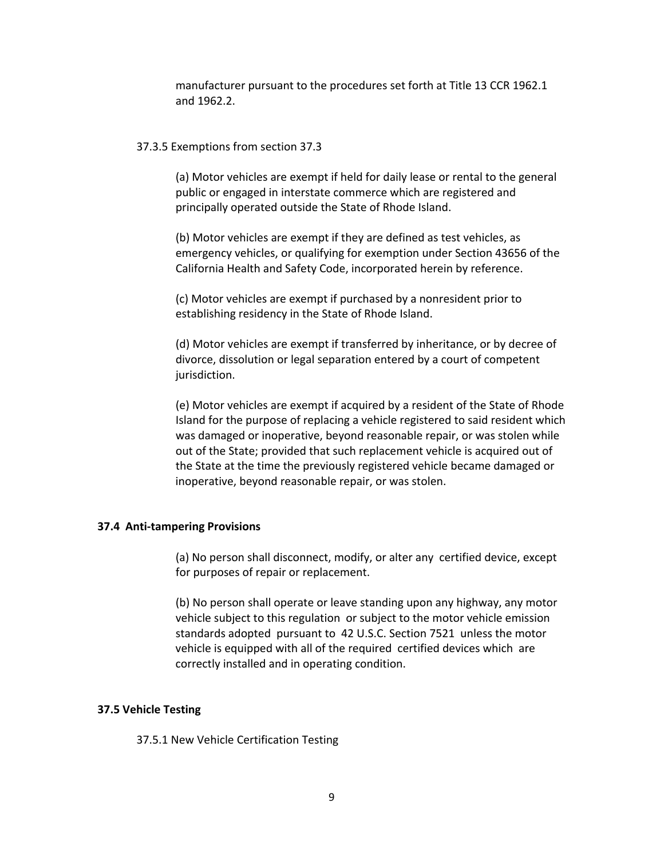manufacturer pursuant to the procedures set forth at Title 13 CCR 1962.1 and 1962.2.

#### 37.3.5 Exemptions from section 37.3

(a) Motor vehicles are exempt if held for daily lease or rental to the general public or engaged in interstate commerce which are registered and principally operated outside the State of Rhode Island.

(b) Motor vehicles are exempt if they are defined as test vehicles, as emergency vehicles, or qualifying for exemption under Section 43656 of the California Health and Safety Code, incorporated herein by reference.

(c) Motor vehicles are exempt if purchased by a nonresident prior to establishing residency in the State of Rhode Island.

(d) Motor vehicles are exempt if transferred by inheritance, or by decree of divorce, dissolution or legal separation entered by a court of competent jurisdiction.

(e) Motor vehicles are exempt if acquired by a resident of the State of Rhode Island for the purpose of replacing a vehicle registered to said resident which was damaged or inoperative, beyond reasonable repair, or was stolen while out of the State; provided that such replacement vehicle is acquired out of the State at the time the previously registered vehicle became damaged or inoperative, beyond reasonable repair, or was stolen.

### **37.4 Anti‐tampering Provisions**

(a) No person shall disconnect, modify, or alter any certified device, except for purposes of repair or replacement.

(b) No person shall operate or leave standing upon any highway, any motor vehicle subject to this regulation or subject to the motor vehicle emission standards adopted pursuant to 42 U.S.C. Section 7521 unless the motor vehicle is equipped with all of the required certified devices which are correctly installed and in operating condition.

#### **37.5 Vehicle Testing**

37.5.1 New Vehicle Certification Testing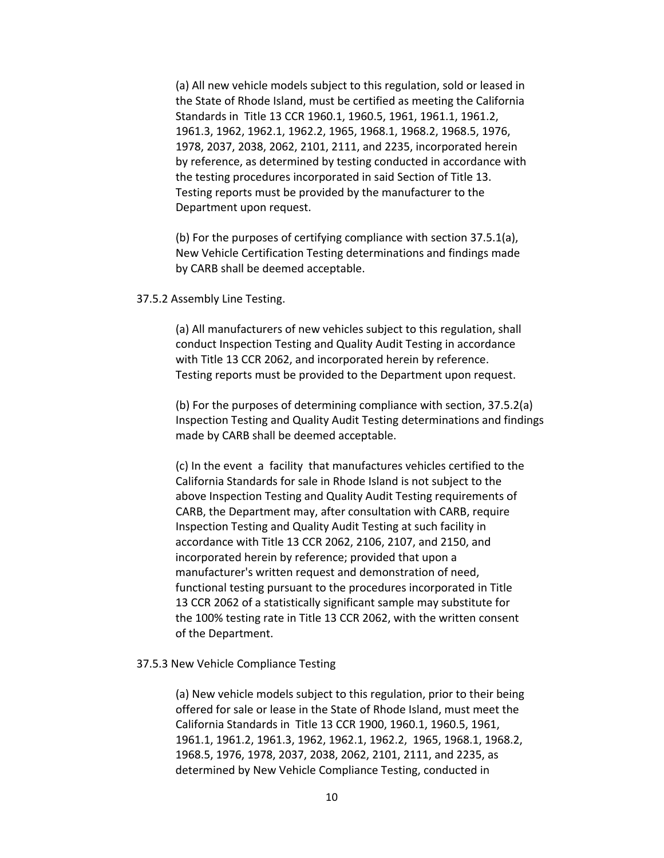(a) All new vehicle models subject to this regulation, sold or leased in the State of Rhode Island, must be certified as meeting the California Standards in Title 13 CCR 1960.1, 1960.5, 1961, 1961.1, 1961.2, 1961.3, 1962, 1962.1, 1962.2, 1965, 1968.1, 1968.2, 1968.5, 1976, 1978, 2037, 2038, 2062, 2101, 2111, and 2235, incorporated herein by reference, as determined by testing conducted in accordance with the testing procedures incorporated in said Section of Title 13. Testing reports must be provided by the manufacturer to the Department upon request.

(b) For the purposes of certifying compliance with section 37.5.1(a), New Vehicle Certification Testing determinations and findings made by CARB shall be deemed acceptable.

#### 37.5.2 Assembly Line Testing.

(a) All manufacturers of new vehicles subject to this regulation, shall conduct Inspection Testing and Quality Audit Testing in accordance with Title 13 CCR 2062, and incorporated herein by reference. Testing reports must be provided to the Department upon request.

(b) For the purposes of determining compliance with section, 37.5.2(a) Inspection Testing and Quality Audit Testing determinations and findings made by CARB shall be deemed acceptable.

(c) In the event a facility that manufactures vehicles certified to the California Standards for sale in Rhode Island is not subject to the above Inspection Testing and Quality Audit Testing requirements of CARB, the Department may, after consultation with CARB, require Inspection Testing and Quality Audit Testing at such facility in accordance with Title 13 CCR 2062, 2106, 2107, and 2150, and incorporated herein by reference; provided that upon a manufacturer's written request and demonstration of need, functional testing pursuant to the procedures incorporated in Title 13 CCR 2062 of a statistically significant sample may substitute for the 100% testing rate in Title 13 CCR 2062, with the written consent of the Department.

#### 37.5.3 New Vehicle Compliance Testing

(a) New vehicle models subject to this regulation, prior to their being offered for sale or lease in the State of Rhode Island, must meet the California Standards in Title 13 CCR 1900, 1960.1, 1960.5, 1961, 1961.1, 1961.2, 1961.3, 1962, 1962.1, 1962.2, 1965, 1968.1, 1968.2, 1968.5, 1976, 1978, 2037, 2038, 2062, 2101, 2111, and 2235, as determined by New Vehicle Compliance Testing, conducted in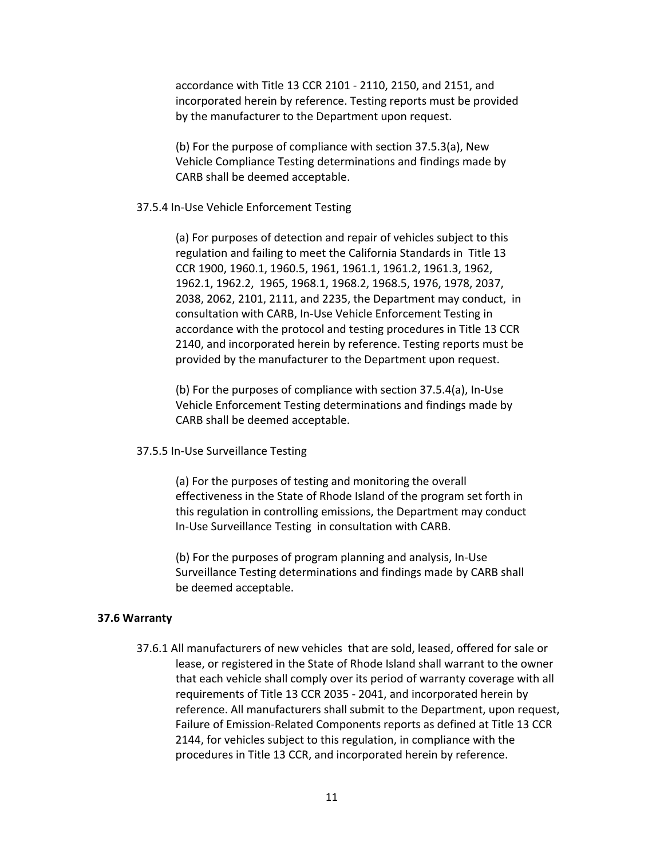accordance with Title 13 CCR 2101 ‐ 2110, 2150, and 2151, and incorporated herein by reference. Testing reports must be provided by the manufacturer to the Department upon request.

(b) For the purpose of compliance with section 37.5.3(a), New Vehicle Compliance Testing determinations and findings made by CARB shall be deemed acceptable.

#### 37.5.4 In‐Use Vehicle Enforcement Testing

(a) For purposes of detection and repair of vehicles subject to this regulation and failing to meet the California Standards in Title 13 CCR 1900, 1960.1, 1960.5, 1961, 1961.1, 1961.2, 1961.3, 1962, 1962.1, 1962.2, 1965, 1968.1, 1968.2, 1968.5, 1976, 1978, 2037, 2038, 2062, 2101, 2111, and 2235, the Department may conduct, in consultation with CARB, In‐Use Vehicle Enforcement Testing in accordance with the protocol and testing procedures in Title 13 CCR 2140, and incorporated herein by reference. Testing reports must be provided by the manufacturer to the Department upon request.

(b) For the purposes of compliance with section 37.5.4(a), In‐Use Vehicle Enforcement Testing determinations and findings made by CARB shall be deemed acceptable.

#### 37.5.5 In‐Use Surveillance Testing

(a) For the purposes of testing and monitoring the overall effectiveness in the State of Rhode Island of the program set forth in this regulation in controlling emissions, the Department may conduct In‐Use Surveillance Testing in consultation with CARB.

(b) For the purposes of program planning and analysis, In‐Use Surveillance Testing determinations and findings made by CARB shall be deemed acceptable.

#### **37.6 Warranty**

37.6.1 All manufacturers of new vehicles that are sold, leased, offered for sale or lease, or registered in the State of Rhode Island shall warrant to the owner that each vehicle shall comply over its period of warranty coverage with all requirements of Title 13 CCR 2035 ‐ 2041, and incorporated herein by reference. All manufacturers shall submit to the Department, upon request, Failure of Emission‐Related Components reports as defined at Title 13 CCR 2144, for vehicles subject to this regulation, in compliance with the procedures in Title 13 CCR, and incorporated herein by reference.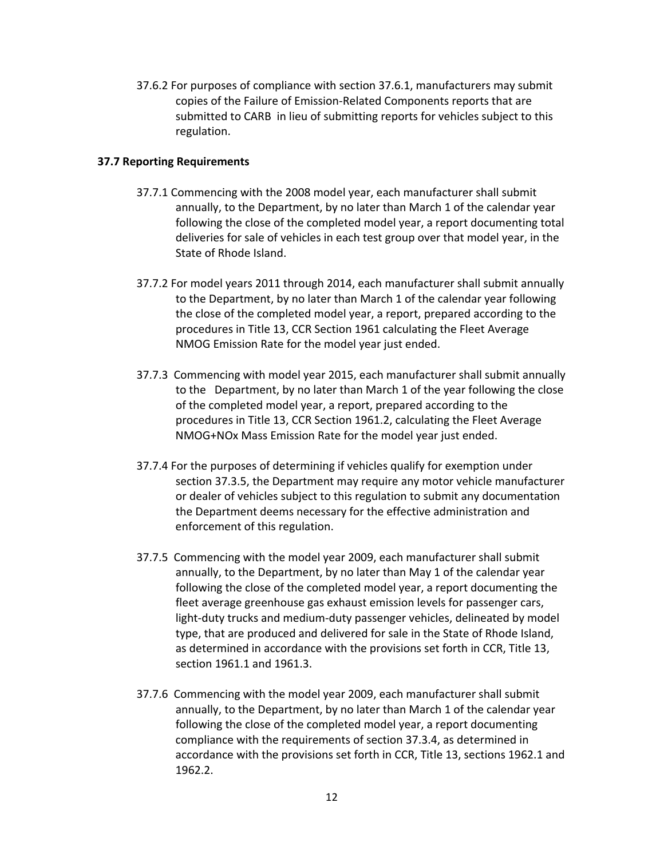37.6.2 For purposes of compliance with section 37.6.1, manufacturers may submit copies of the Failure of Emission‐Related Components reports that are submitted to CARB in lieu of submitting reports for vehicles subject to this regulation.

### **37.7 Reporting Requirements**

- 37.7.1 Commencing with the 2008 model year, each manufacturer shall submit annually, to the Department, by no later than March 1 of the calendar year following the close of the completed model year, a report documenting total deliveries for sale of vehicles in each test group over that model year, in the State of Rhode Island.
- 37.7.2 For model years 2011 through 2014, each manufacturer shall submit annually to the Department, by no later than March 1 of the calendar year following the close of the completed model year, a report, prepared according to the procedures in Title 13, CCR Section 1961 calculating the Fleet Average NMOG Emission Rate for the model year just ended.
- 37.7.3 Commencing with model year 2015, each manufacturer shall submit annually to the Department, by no later than March 1 of the year following the close of the completed model year, a report, prepared according to the procedures in Title 13, CCR Section 1961.2, calculating the Fleet Average NMOG+NOx Mass Emission Rate for the model year just ended.
- 37.7.4 For the purposes of determining if vehicles qualify for exemption under section 37.3.5, the Department may require any motor vehicle manufacturer or dealer of vehicles subject to this regulation to submit any documentation the Department deems necessary for the effective administration and enforcement of this regulation.
- 37.7.5 Commencing with the model year 2009, each manufacturer shall submit annually, to the Department, by no later than May 1 of the calendar year following the close of the completed model year, a report documenting the fleet average greenhouse gas exhaust emission levels for passenger cars, light-duty trucks and medium-duty passenger vehicles, delineated by model type, that are produced and delivered for sale in the State of Rhode Island, as determined in accordance with the provisions set forth in CCR, Title 13, section 1961.1 and 1961.3.
- 37.7.6 Commencing with the model year 2009, each manufacturer shall submit annually, to the Department, by no later than March 1 of the calendar year following the close of the completed model year, a report documenting compliance with the requirements of section 37.3.4, as determined in accordance with the provisions set forth in CCR, Title 13, sections 1962.1 and 1962.2.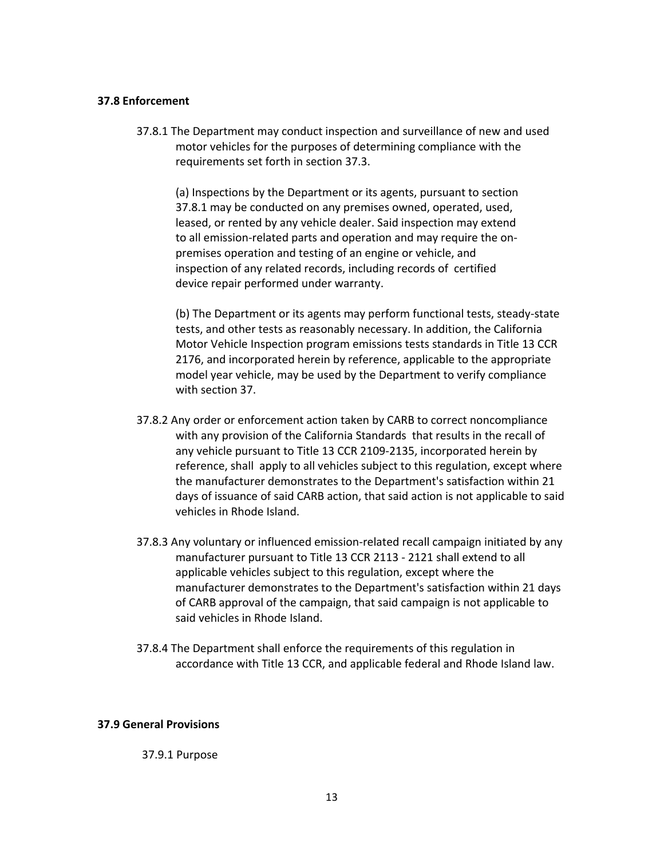### **37.8 Enforcement**

37.8.1 The Department may conduct inspection and surveillance of new and used motor vehicles for the purposes of determining compliance with the requirements set forth in section 37.3.

(a) Inspections by the Department or its agents, pursuant to section 37.8.1 may be conducted on any premises owned, operated, used, leased, or rented by any vehicle dealer. Said inspection may extend to all emission‐related parts and operation and may require the on‐ premises operation and testing of an engine or vehicle, and inspection of any related records, including records of certified device repair performed under warranty.

(b) The Department or its agents may perform functional tests, steady‐state tests, and other tests as reasonably necessary. In addition, the California Motor Vehicle Inspection program emissions tests standards in Title 13 CCR 2176, and incorporated herein by reference, applicable to the appropriate model year vehicle, may be used by the Department to verify compliance with section 37.

- 37.8.2 Any order or enforcement action taken by CARB to correct noncompliance with any provision of the California Standards that results in the recall of any vehicle pursuant to Title 13 CCR 2109‐2135, incorporated herein by reference, shall apply to all vehicles subject to this regulation, except where the manufacturer demonstrates to the Department's satisfaction within 21 days of issuance of said CARB action, that said action is not applicable to said vehicles in Rhode Island.
- 37.8.3 Any voluntary or influenced emission-related recall campaign initiated by any manufacturer pursuant to Title 13 CCR 2113 ‐ 2121 shall extend to all applicable vehicles subject to this regulation, except where the manufacturer demonstrates to the Department's satisfaction within 21 days of CARB approval of the campaign, that said campaign is not applicable to said vehicles in Rhode Island.
- 37.8.4 The Department shall enforce the requirements of this regulation in accordance with Title 13 CCR, and applicable federal and Rhode Island law.

## **37.9 General Provisions**

37.9.1 Purpose